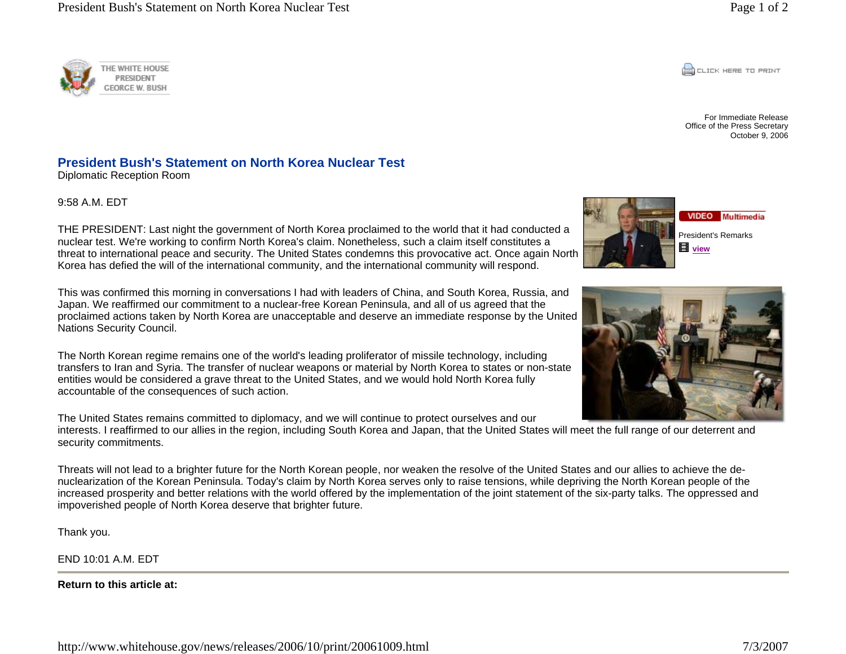

For Immediate ReleaseOffice of the Press Secretary October 9, 2006

## **HE WHITE HOUSE** PRESIDENT **EORGE W. BUSH**

## **President Bush's Statement on North Korea Nuclear Test**

Diplomatic Reception Room

9:58 A.M. EDT

VIDEO Multimedia President's Remarks **view**



THE PRESIDENT: Last night the government of North Korea proclaimed to the world that it had conducted a nuclear test. We're working to confirm North Korea's claim. Nonetheless, such a claim itself constitutes a threat to international peace and security. The United States condemns this provocative act. Once again North Korea has defied the will of the international community, and the international community will respond.

This was confirmed this morning in conversations I had with leaders of China, and South Korea, Russia, and Japan. We reaffirmed our commitment to a nuclear-free Korean Peninsula, and all of us agreed that the proclaimed actions taken by North Korea are unacceptable and deserve an immediate response by the United Nations Security Council.

The North Korean regime remains one of the world's leading proliferator of missile technology, including transfers to Iran and Syria. The transfer of nuclear weapons or material by North Korea to states or non-state entities would be considered a grave threat to the United States, and we would hold North Korea fully accountable of the consequences of such action.

The United States remains committed to diplomacy, and we will continue to protect ourselves and our

interests. I reaffirmed to our allies in the region, including South Korea and Japan, that the United States will meet the full range of our deterrent and security commitments.

Threats will not lead to a brighter future for the North Korean people, nor weaken the resolve of the United States and our allies to achieve the denuclearization of the Korean Peninsula. Today's claim by North Korea serves only to raise tensions, while depriving the North Korean people of the increased prosperity and better relations with the world offered by the implementation of the joint statement of the six-party talks. The oppressed and impoverished people of North Korea deserve that brighter future.

Thank you.

END 10:01 A.M. EDT

**Return to this article at:**